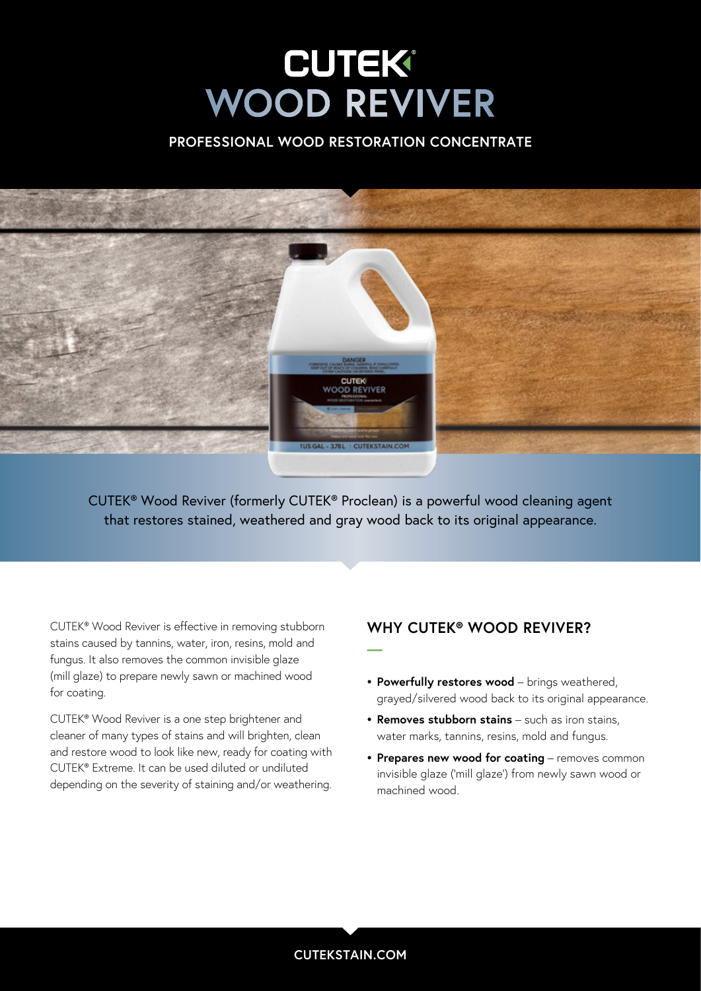# **WOOD REVIVER WOOD REVIVER**

### **PROFESSIONAL WOOD RESTORATION CONCENTRATE**



CUTEK® Wood Reviver (formerly CUTEK® Proclean) is a powerful wood cleaning agent that restores stained, weathered and gray wood back to its original appearance.

**—**

CUTEK® Wood Reviver is effective in removing stubborn stains caused by tannins, water, iron, resins, mold and fungus. It also removes the common invisible glaze (mill glaze) to prepare newly sawn or machined wood for coating.

CUTEK® Wood Reviver is a one step brightener and cleaner of many types of stains and will brighten, clean and restore wood to look like new, ready for coating with CUTEK® Extreme. It can be used diluted or undiluted depending on the severity of staining and/or weathering.

### **WHY CUTEK® WOOD REVIVER?**

- **• Powerfully restores wood** brings weathered, grayed/silvered wood back to its original appearance.
- **• Removes stubborn stains** such as iron stains, water marks, tannins, resins, mold and fungus.
- **• Prepares new wood for coating** removes common invisible glaze ('mill glaze') from newly sawn wood or machined wood.

### **CUTEKSTAIN.COM**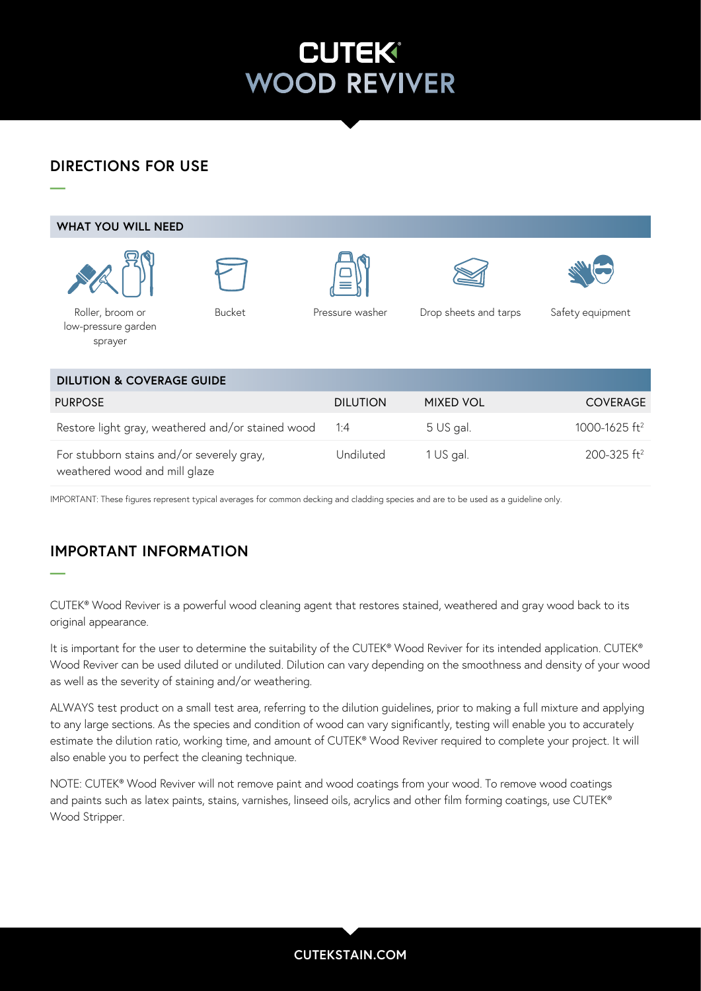## **CUTEK® WOOD REVIVER**

### **DIRECTIONS FOR USE**

washer

lambswool applicator Bucket



IMPORTANT: These figures represent typical averages for common decking and cladding species and are to be used as a guideline only.

## **IMPORTANT INFORMATION**

**—**

CUTEK® Wood Reviver is a powerful wood cleaning agent that restores stained, weathered and gray wood back to its original appearance.

It is important for the user to determine the suitability of the CUTEK® Wood Reviver for its intended application. CUTEK® Wood Reviver can be used diluted or undiluted. Dilution can vary depending on the smoothness and density of your wood as well as the severity of staining and/or weathering.

ALWAYS test product on a small test area, referring to the dilution guidelines, prior to making a full mixture and applying to any large sections. As the species and condition of wood can vary significantly, testing will enable you to accurately estimate the dilution ratio, working time, and amount of CUTEK® Wood Reviver required to complete your project. It will also enable you to perfect the cleaning technique.

NOTE: CUTEK® Wood Reviver will not remove paint and wood coatings from your wood. To remove wood coatings and paints such as latex paints, stains, varnishes, linseed oils, acrylics and other film forming coatings, use CUTEK® Wood Stripper.

### **CUTEKSTAIN.COM**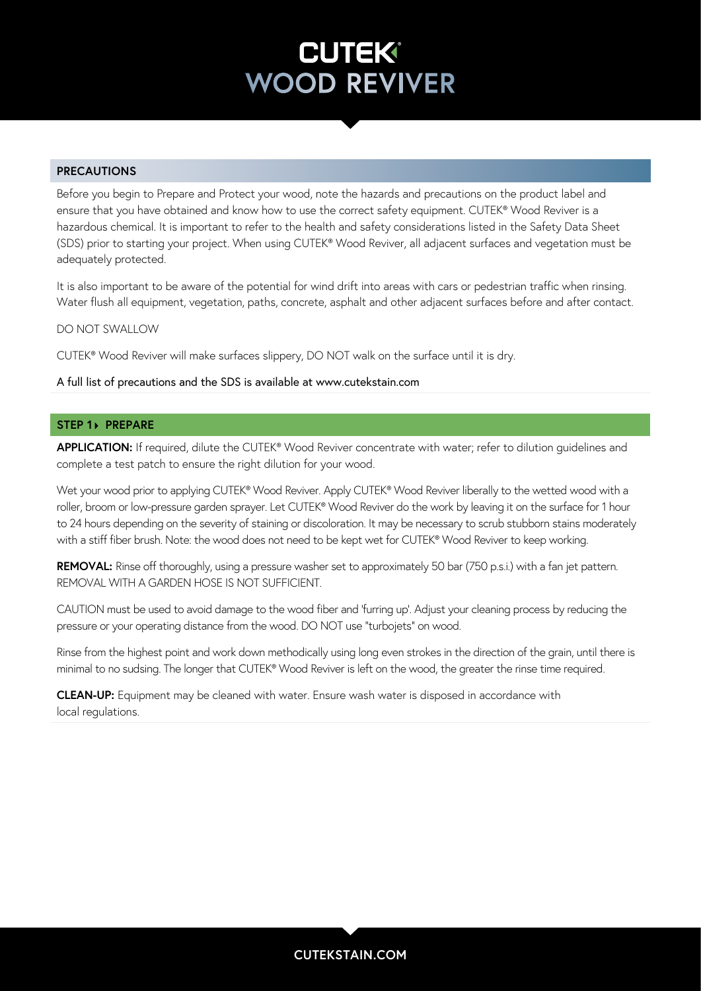## **CUTEK® WOOD REVIVER**

### **PRECAUTIONS**

Before you begin to Prepare and Protect your wood, note the hazards and precautions on the product label and ensure that you have obtained and know how to use the correct safety equipment. CUTEK® Wood Reviver is a hazardous chemical. It is important to refer to the health and safety considerations listed in the Safety Data Sheet (SDS) prior to starting your project. When using CUTEK® Wood Reviver, all adjacent surfaces and vegetation must be adequately protected.

It is also important to be aware of the potential for wind drift into areas with cars or pedestrian traffic when rinsing. Water flush all equipment, vegetation, paths, concrete, asphalt and other adjacent surfaces before and after contact.

#### DO NOT SWALLOW

CUTEK® Wood Reviver will make surfaces slippery, DO NOT walk on the surface until it is dry.

#### A full list of precautions and the SDS is available at www.cutekstain.com

#### **STEP 1> PREPARE**

**APPLICATION:** If required, dilute the CUTEK® Wood Reviver concentrate with water; refer to dilution guidelines and complete a test patch to ensure the right dilution for your wood.

Wet your wood prior to applying CUTEK® Wood Reviver. Apply CUTEK® Wood Reviver liberally to the wetted wood with a roller, broom or low-pressure garden sprayer. Let CUTEK® Wood Reviver do the work by leaving it on the surface for 1 hour to 24 hours depending on the severity of staining or discoloration. It may be necessary to scrub stubborn stains moderately with a stiff fiber brush. Note: the wood does not need to be kept wet for CUTEK® Wood Reviver to keep working.

**REMOVAL:** Rinse off thoroughly, using a pressure washer set to approximately 50 bar (750 p.s.i.) with a fan jet pattern. REMOVAL WITH A GARDEN HOSE IS NOT SUFFICIENT.

CAUTION must be used to avoid damage to the wood fiber and 'furring up'. Adjust your cleaning process by reducing the pressure or your operating distance from the wood. DO NOT use "turbojets" on wood.

Rinse from the highest point and work down methodically using long even strokes in the direction of the grain, until there is minimal to no sudsing. The longer that CUTEK® Wood Reviver is left on the wood, the greater the rinse time required.

**CLEAN-UP:** Equipment may be cleaned with water. Ensure wash water is disposed in accordance with local regulations.